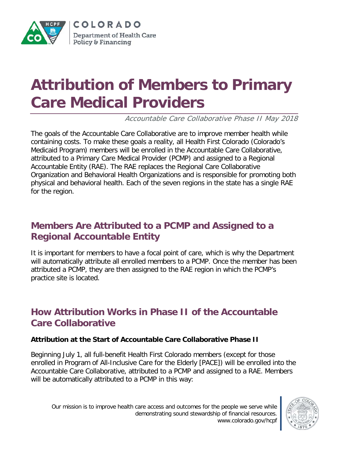

# **Attribution of Members to Primary Care Medical Providers**

Accountable Care Collaborative Phase II May 2018

The goals of the Accountable Care Collaborative are to improve member health while containing costs. To make these goals a reality, all Health First Colorado (Colorado's Medicaid Program) members will be enrolled in the Accountable Care Collaborative, attributed to a Primary Care Medical Provider (PCMP) and assigned to a Regional Accountable Entity (RAE). The RAE replaces the Regional Care Collaborative Organization and Behavioral Health Organizations and is responsible for promoting both physical and behavioral health. Each of the seven regions in the state has a single RAE for the region.

# **Members Are Attributed to a PCMP and Assigned to a Regional Accountable Entity**

It is important for members to have a focal point of care, which is why the Department will automatically attribute all enrolled members to a PCMP. Once the member has been attributed a PCMP, they are then assigned to the RAE region in which the PCMP's practice site is located.

## **How Attribution Works in Phase II of the Accountable Care Collaborative**

#### **Attribution at the Start of Accountable Care Collaborative Phase II**

Beginning July 1, all full-benefit Health First Colorado members (except for those enrolled in Program of All-Inclusive Care for the Elderly [PACE]) will be enrolled into the Accountable Care Collaborative, attributed to a PCMP and assigned to a RAE. Members will be automatically attributed to a PCMP in this way:

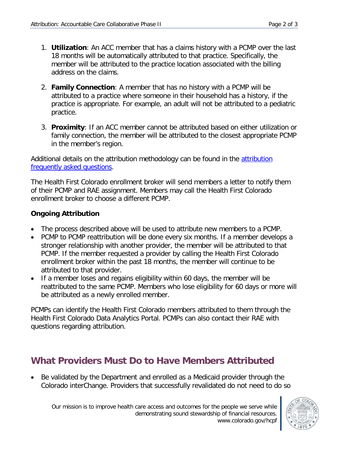- 1. **Utilization**: An ACC member that has a claims history with a PCMP over the last 18 months will be automatically attributed to that practice. Specifically, the member will be attributed to the practice location associated with the billing address on the claims.
- 2. **Family Connection**: A member that has no history with a PCMP will be attributed to a practice where someone in their household has a history, if the practice is appropriate. For example, an adult will not be attributed to a pediatric practice.
- 3. **Proximity**: If an ACC member cannot be attributed based on either utilization or family connection, the member will be attributed to the closest appropriate PCMP in the member's region.

Additional details on the [attribution](https://www.colorado.gov/pacific/sites/default/files/Phase%20II%20Attribution%20FAQ%2003.06.2018.pdf) methodology can be found in the attribution [frequently asked questions.](https://www.colorado.gov/pacific/sites/default/files/Phase%20II%20Attribution%20FAQ%2003.06.2018.pdf)

The Health First Colorado enrollment broker will send members a letter to notify them of their PCMP and RAE assignment. Members may call the Health First Colorado enrollment broker to choose a different PCMP.

#### **Ongoing Attribution**

- The process described above will be used to attribute new members to a PCMP.
- PCMP to PCMP reattribution will be done every six months. If a member develops a stronger relationship with another provider, the member will be attributed to that PCMP. If the member requested a provider by calling the Health First Colorado enrollment broker within the past 18 months, the member will continue to be attributed to that provider.
- If a member loses and regains eligibility within 60 days, the member will be reattributed to the same PCMP. Members who lose eligibility for 60 days or more will be attributed as a newly enrolled member.

PCMPs can identify the Health First Colorado members attributed to them through the Health First Colorado Data Analytics Portal. PCMPs can also contact their RAE with questions regarding attribution.

## **What Providers Must Do to Have Members Attributed**

• Be validated by the Department and enrolled as a Medicaid provider through the Colorado interChange. Providers that successfully revalidated do not need to do so